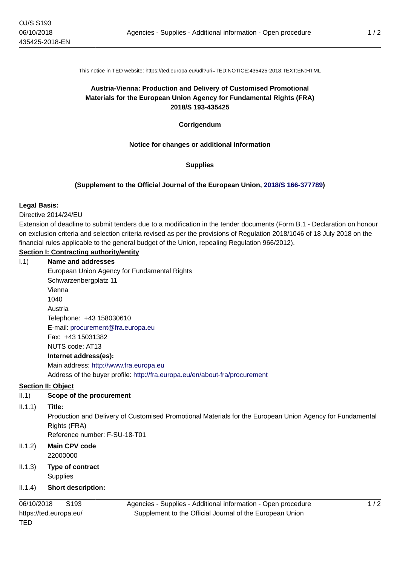This notice in TED website: https://ted.europa.eu/udl?uri=TED:NOTICE:435425-2018:TEXT:EN:HTML

# **Austria-Vienna: Production and Delivery of Customised Promotional Materials for the European Union Agency for Fundamental Rights (FRA) 2018/S 193-435425**

**Corrigendum**

## **Notice for changes or additional information**

## **Supplies**

## **(Supplement to the Official Journal of the European Union, [2018/S 166-377789\)](https://ted.europa.eu/udl?uri=TED:NOTICE:377789-2018:TEXT:EN:HTML)**

#### **Legal Basis:**

Directive 2014/24/EU

Extension of deadline to submit tenders due to a modification in the tender documents (Form B.1 - Declaration on honour on exclusion criteria and selection criteria revised as per the provisions of Regulation 2018/1046 of 18 July 2018 on the financial rules applicable to the general budget of the Union, repealing Regulation 966/2012).

## **Section I: Contracting authority/entity**

#### I.1) **Name and addresses**

European Union Agency for Fundamental Rights Schwarzenbergplatz 11 Vienna 1040 Austria Telephone: +43 158030610 E-mail: [procurement@fra.europa.eu](mailto:procurement@fra.europa.eu)  Fax: +43 15031382 NUTS code: AT13 **Internet address(es):** Main address:<http://www.fra.europa.eu> Address of the buyer profile: <http://fra.europa.eu/en/about-fra/procurement>

## **Section II: Object**

## II.1) **Scope of the procurement**

II.1.1) **Title:**

Production and Delivery of Customised Promotional Materials for the European Union Agency for Fundamental Rights (FRA)

Reference number: F-SU-18-T01

#### II.1.2) **Main CPV code** 22000000

II.1.3) **Type of contract Supplies** 

## II.1.4) **Short description:**